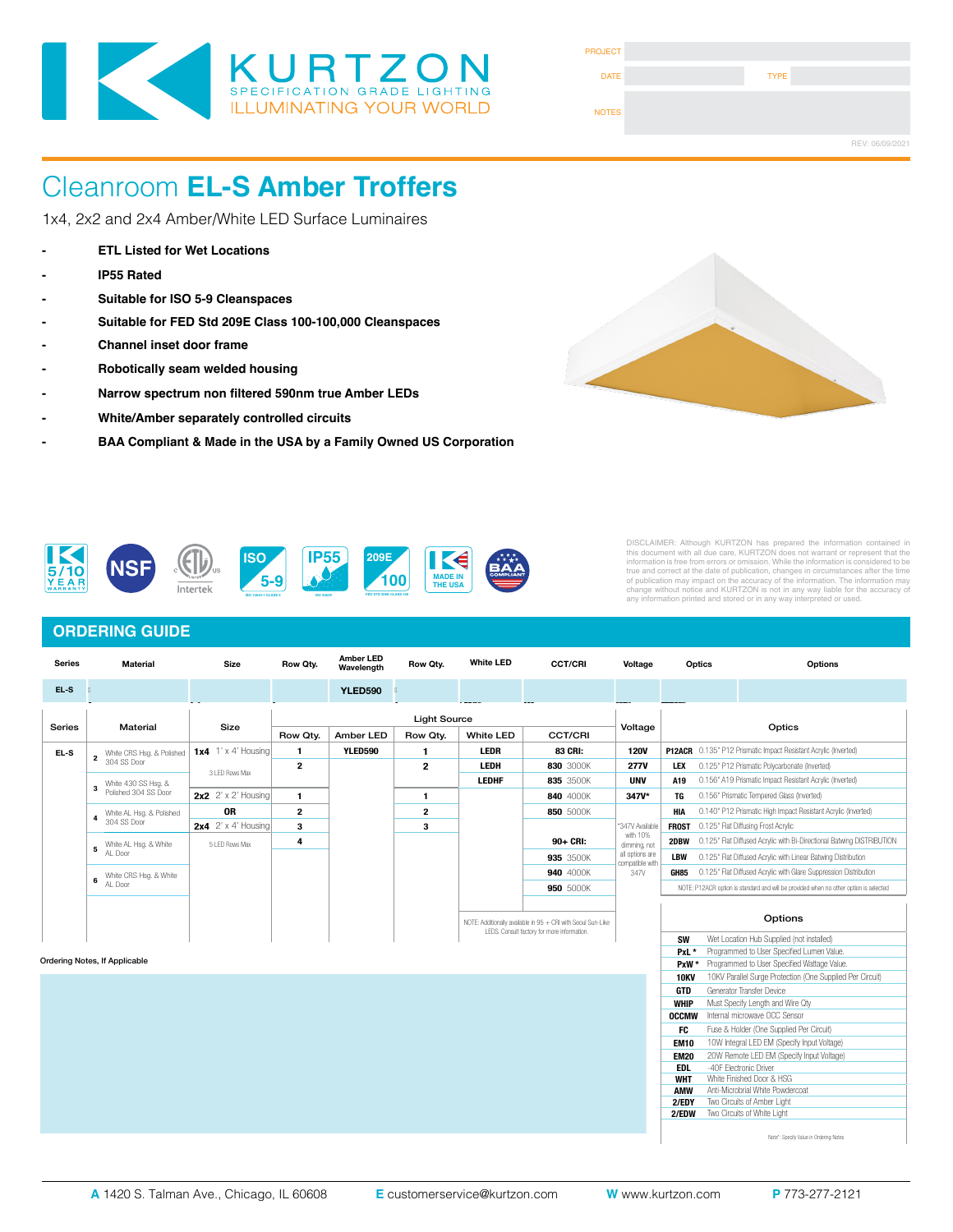

| <b>PROJECT</b> |             |                 |
|----------------|-------------|-----------------|
| <b>DATE</b>    | <b>TYPE</b> |                 |
| <b>NOTES</b>   |             |                 |
|                |             | REV: 06/09/2021 |

1x4, 2x2 and 2x4 Amber/White LED Surface Luminaires

- **ETL Listed for Wet Locations**
- **IP55 Rated**
- **Suitable for ISO 5-9 Cleanspaces**
- **Suitable for FED Std 209E Class 100-100,000 Cleanspaces**
- **Channel inset door frame**
- **Robotically seam welded housing**
- **Narrow spectrum non filtered 590nm true Amber LEDs**
- **White/Amber separately controlled circuits**
- **- BAA Compliant & Made in the USA by a Family Owned US Corporation**





DISCLAIMER: Although KURTZON has prepared the information contained in<br>this document with all due care, KURTZON does not warrant or represent that the<br>information is free from errors or omission. While the information is c

#### **ORDERING GUIDE**

| <b>Series</b> | Material                               | <b>Size</b>                | Row Qty. | <b>Amber LED</b><br>Wavelength | Row Qty.            | <b>White LED</b> | <b>CCT/CRI</b>                                                                                              | Voltage                  | Optics                                                                                |  | Options                                                               |
|---------------|----------------------------------------|----------------------------|----------|--------------------------------|---------------------|------------------|-------------------------------------------------------------------------------------------------------------|--------------------------|---------------------------------------------------------------------------------------|--|-----------------------------------------------------------------------|
| EL-S          |                                        |                            |          | <b>YLED590</b>                 |                     |                  |                                                                                                             |                          |                                                                                       |  |                                                                       |
|               |                                        |                            |          |                                | <b>Light Source</b> |                  |                                                                                                             |                          |                                                                                       |  |                                                                       |
| <b>Series</b> | Material                               | Size                       | Row Qty. | Amber LED                      | Row Qty.            | <b>White LED</b> | <b>CCT/CRI</b>                                                                                              | Voltage                  | Optics                                                                                |  |                                                                       |
| EL-S          | White CRS Hsg. & Polished              | 1x4 $1' \times 4'$ Housing | 1        | <b>YLED590</b>                 | 1                   | <b>LEDR</b>      | 83 CRI:                                                                                                     | <b>120V</b>              |                                                                                       |  | P12ACR 0.135" P12 Prismatic Impact Resistant Acrylic (Inverted)       |
|               | $\overline{\mathbf{2}}$<br>304 SS Door |                            | 2        |                                | $\mathbf{2}$        | LEDH             | 830 3000K                                                                                                   | <b>277V</b>              | <b>LEX</b>                                                                            |  | 0.125" P12 Prismatic Polycarbonate (Inverted)                         |
|               | White 430 SS Hsg. &                    | 3 LED Rows Max             |          |                                |                     | <b>LEDHF</b>     | 835 3500K                                                                                                   | <b>UNV</b>               | A19                                                                                   |  | 0.156" A19 Prismatic Impact Resistant Acrylic (Inverted)              |
|               | $\mathbf{3}$<br>Polished 304 SS Door   | 2x2 $2' \times 2'$ Housing | 1        |                                | 1                   |                  | 840 4000K                                                                                                   | 347V*                    | TG                                                                                    |  | 0.156" Prismatic Tempered Glass (Inverted)                            |
|               | White AL Hsg. & Polished               | <b>OR</b>                  | 2        |                                | $\mathbf{2}$        |                  | 850 5000K                                                                                                   |                          | HIA                                                                                   |  | 0.140" P12 Prismatic High Impact Resistant Acrylic (Inverted)         |
|               | 4<br>304 SS Door                       | 2x4 $2' \times 4'$ Housing | 3        |                                | 3                   |                  |                                                                                                             | *347V Available          | 0.125" Flat Diffusing Frost Acrylic<br><b>FROST</b>                                   |  |                                                                       |
|               | White AL Hsg. & White<br>5<br>AL Door  | 5 LED Rows Max             | 4        |                                |                     |                  | 90+ CRI:                                                                                                    | with 10%<br>dimming, not | 2DBW                                                                                  |  | 0.125" Flat Diffused Acrylic with Bi-Directional Batwing DISTRIBUTION |
|               |                                        |                            |          |                                |                     |                  | 935 3500K                                                                                                   | all options are          | <b>LBW</b>                                                                            |  | 0.125" Flat Diffused Acrylic with Linear Batwing Distribution         |
|               | White CRS Hsg. & White                 |                            |          |                                |                     |                  | 940 4000K                                                                                                   | compatible with<br>347V  | GH85                                                                                  |  | 0.125" Flat Diffused Acrylic with Glare Suppression Distribution      |
|               | 6<br>AL Door                           |                            |          |                                |                     |                  | 950 5000K                                                                                                   |                          | NOTE: P12ACR option is standard and will be provided when no other option is selected |  |                                                                       |
|               |                                        |                            |          |                                |                     |                  |                                                                                                             |                          |                                                                                       |  |                                                                       |
|               |                                        |                            |          |                                |                     |                  | NOTE: Additionally available in 95 + CRI with Seoul Sun-Like<br>LEDS. Consult factory for more information. |                          | Options                                                                               |  |                                                                       |
|               |                                        |                            |          |                                |                     |                  |                                                                                                             |                          | <b>SW</b>                                                                             |  | Wet Location Hub Supplied (not installed)                             |
|               |                                        |                            |          |                                |                     |                  |                                                                                                             |                          | PxL *                                                                                 |  | Programmed to User Specified Lumen Value.                             |
|               | Ordering Notes, If Applicable          |                            |          |                                |                     |                  |                                                                                                             |                          | PxW*                                                                                  |  | Programmed to User Specified Wattage Value.                           |
|               |                                        |                            |          |                                |                     |                  |                                                                                                             |                          | <b>10KV</b>                                                                           |  | 10KV Parallel Surge Protection (One Supplied Per Circuit)             |
|               |                                        |                            |          |                                |                     |                  |                                                                                                             |                          | <b>GTD</b>                                                                            |  | Generator Transfer Device                                             |
|               |                                        |                            |          |                                |                     |                  |                                                                                                             |                          | <b>WHIP</b>                                                                           |  | Must Specify Length and Wire Qty                                      |
|               |                                        |                            |          |                                |                     |                  |                                                                                                             |                          | <b>OCCMW</b>                                                                          |  | Internal microwave OCC Sensor                                         |
|               |                                        |                            |          |                                |                     |                  |                                                                                                             |                          | FC                                                                                    |  | Fuse & Holder (One Supplied Per Circuit)                              |
|               |                                        |                            |          |                                |                     |                  |                                                                                                             |                          | <b>EM10</b>                                                                           |  | 10W Integral LED EM (Specify Input Voltage)                           |
|               |                                        |                            |          |                                |                     |                  |                                                                                                             |                          | <b>EM20</b>                                                                           |  | 20W Remote LED EM (Specify Input Voltage)                             |
|               |                                        |                            |          |                                |                     |                  |                                                                                                             |                          | <b>EDL</b>                                                                            |  | -40F Electronic Driver                                                |
|               |                                        |                            |          |                                |                     |                  |                                                                                                             |                          | <b>WHT</b>                                                                            |  | White Finished Door & HSG                                             |

Note\*: Specify Value in Ordering Notes

**AMW** Anti-Microbrial White Powdercoat<br>**2/FDY** Two Circuits of Amber Light **Two Circuits of Amber Light 2/EDW** Two Circuits of White Light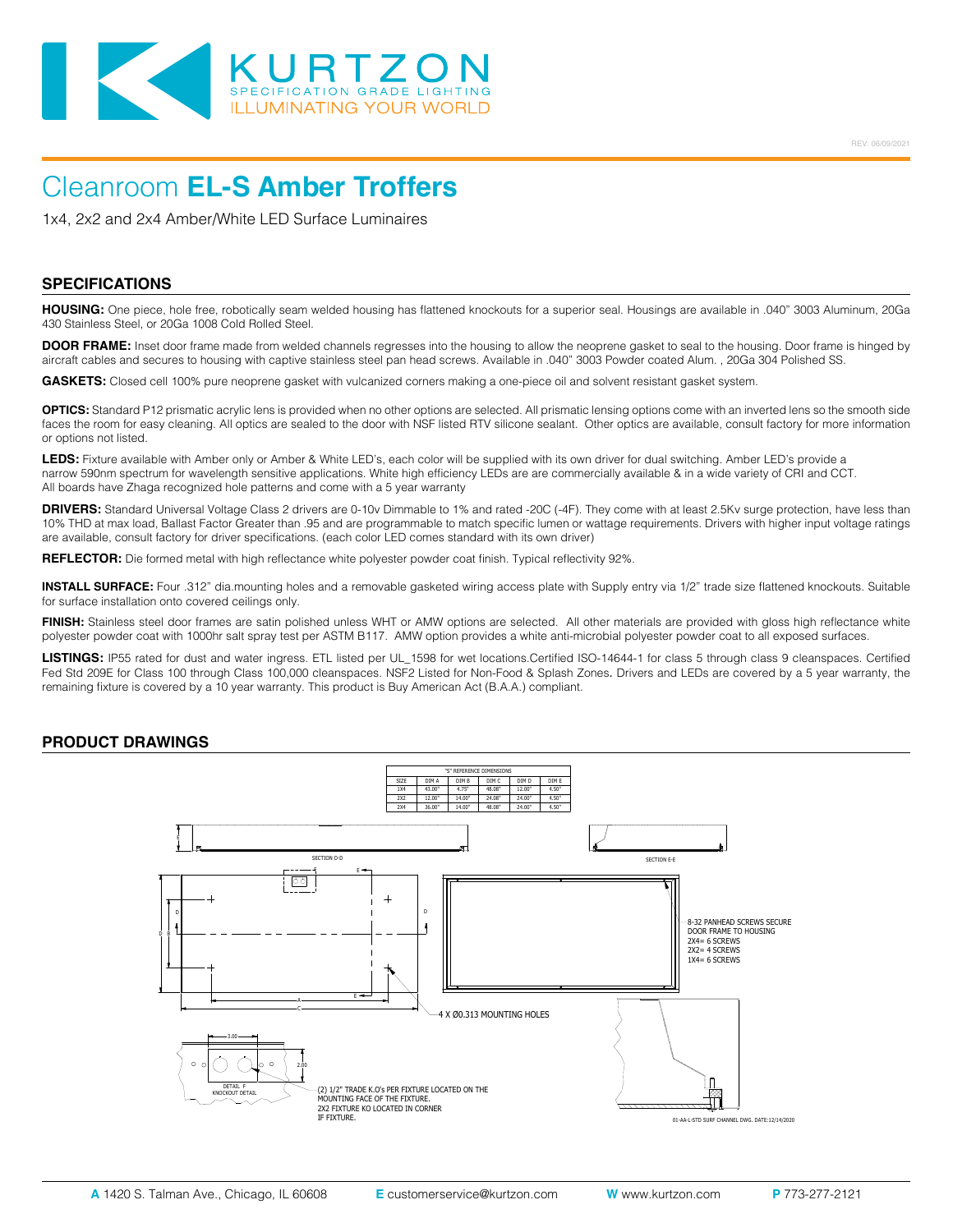

1x4, 2x2 and 2x4 Amber/White LED Surface Luminaires

### **SPECIFICATIONS**

**HOUSING:** One piece, hole free, robotically seam welded housing has flattened knockouts for a superior seal. Housings are available in .040" 3003 Aluminum, 20Ga 430 Stainless Steel, or 20Ga 1008 Cold Rolled Steel.

**DOOR FRAME:** Inset door frame made from welded channels regresses into the housing to allow the neoprene gasket to seal to the housing. Door frame is hinged by aircraft cables and secures to housing with captive stainless steel pan head screws. Available in .040" 3003 Powder coated Alum. , 20Ga 304 Polished SS.

**GASKETS:** Closed cell 100% pure neoprene gasket with vulcanized corners making a one-piece oil and solvent resistant gasket system.

**OPTICS:** Standard P12 prismatic acrylic lens is provided when no other options are selected. All prismatic lensing options come with an inverted lens so the smooth side faces the room for easy cleaning. All optics are sealed to the door with NSF listed RTV silicone sealant. Other optics are available, consult factory for more information or options not listed.

**LEDS:** Fixture available with Amber only or Amber & White LED's, each color will be supplied with its own driver for dual switching. Amber LED's provide a narrow 590nm spectrum for wavelength sensitive applications. White high efficiency LEDs are are commercially available & in a wide variety of CRI and CCT. All boards have Zhaga recognized hole patterns and come with a 5 year warranty

**DRIVERS:** Standard Universal Voltage Class 2 drivers are 0-10v Dimmable to 1% and rated -20C (-4F). They come with at least 2.5Kv surge protection, have less than 10% THD at max load, Ballast Factor Greater than .95 and are programmable to match specific lumen or wattage requirements. Drivers with higher input voltage ratings are available, consult factory for driver specifications. (each color LED comes standard with its own driver)

**REFLECTOR:** Die formed metal with high reflectance white polyester powder coat finish. Typical reflectivity 92%.

**INSTALL SURFACE:** Four .312" dia.mounting holes and a removable gasketed wiring access plate with Supply entry via 1/2" trade size flattened knockouts. Suitable for surface installation onto covered ceilings only.

FINISH: Stainless steel door frames are satin polished unless WHT or AMW options are selected. All other materials are provided with gloss high reflectance white polyester powder coat with 1000hr salt spray test per ASTM B117. AMW option provides a white anti-microbial polyester powder coat to all exposed surfaces.

**LISTINGS:** IP55 rated for dust and water ingress. ETL listed per UL\_1598 for wet locations.Certified ISO-14644-1 for class 5 through class 9 cleanspaces. Certified Fed Std 209E for Class 100 through Class 100,000 cleanspaces. NSF2 Listed for Non-Food & Splash Zones. Drivers and LEDs are covered by a 5 year warranty, the remaining fixture is covered by a 10 year warranty. This product is Buy American Act (B.A.A.) compliant.

#### **PRODUCT DRAWINGS**

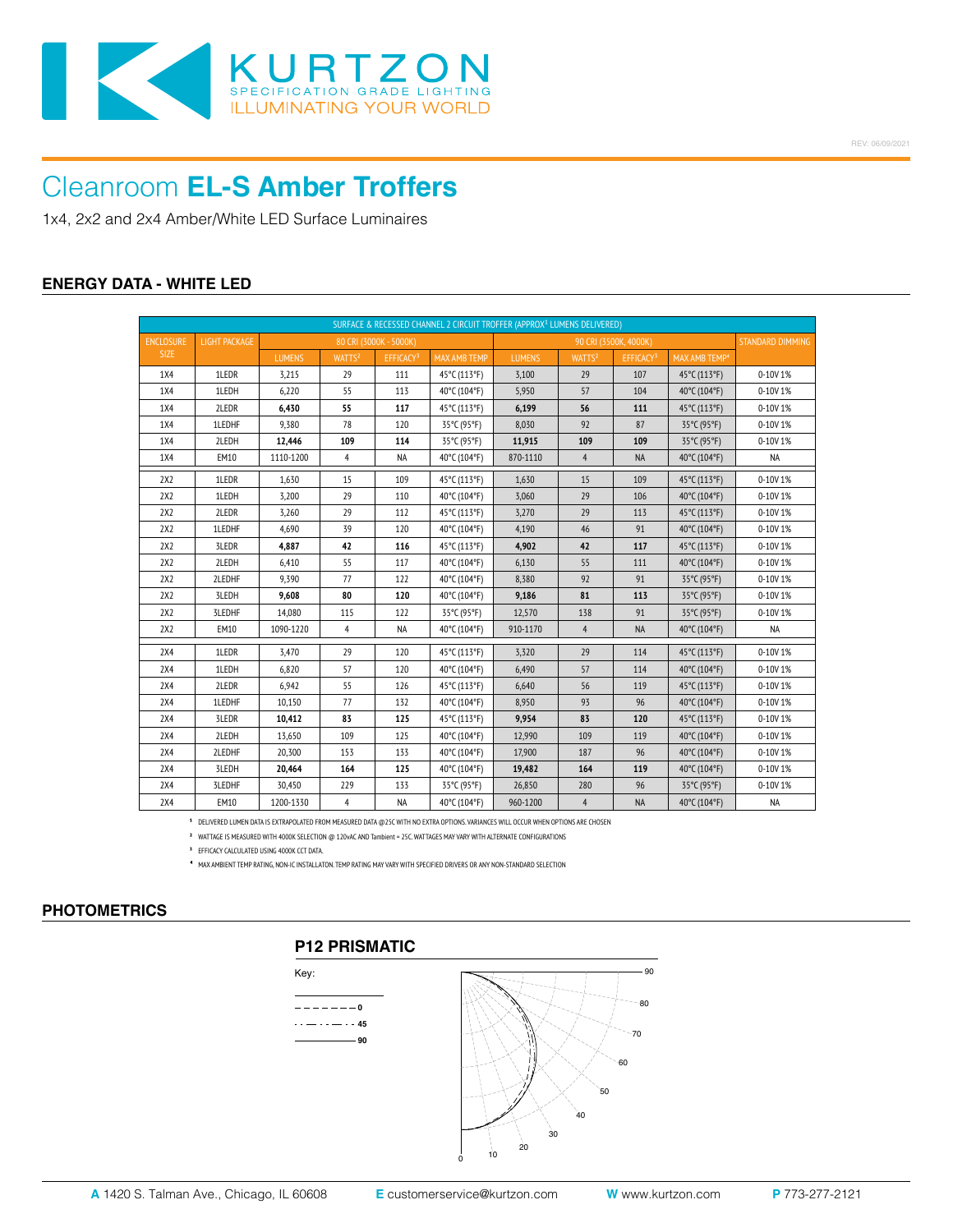

1x4, 2x2 and 2x4 Amber/White LED Surface Luminaires

### **ENERGY DATA - WHITE LED**

| SURFACE & RECESSED CHANNEL 2 CIRCUIT TROFFER (APPROX <sup>1</sup> LUMENS DELIVERED) |               |               |                    |                        |                     |                       |                    |                       |                           |                  |
|-------------------------------------------------------------------------------------|---------------|---------------|--------------------|------------------------|---------------------|-----------------------|--------------------|-----------------------|---------------------------|------------------|
| <b>ENCLOSURE</b>                                                                    | LIGHT PACKAGE |               |                    | 80 CRI (3000K - 5000K) |                     | 90 CRI (3500K, 4000K) |                    |                       |                           | STANDARD DIMMING |
| <b>SIZE</b>                                                                         |               | <b>LUMENS</b> | WATTS <sup>2</sup> | EFFICACY <sup>3</sup>  | <b>MAX AMB TEMP</b> | <b>LUMENS</b>         | WATTS <sup>2</sup> | EFFICACY <sup>3</sup> | MAX AMB TEMP <sup>4</sup> |                  |
| 1X4                                                                                 | 1LEDR         | 3,215         | 29                 | 111                    | 45°C (113°F)        | 3,100                 | 29                 | 107                   | 45°C (113°F)              | 0-10V 1%         |
| 1X4                                                                                 | 1LEDH         | 6,220         | 55                 | 113                    | 40°C (104°F)        | 5,950                 | 57                 | 104                   | 40°C (104°F)              | 0-10V 1%         |
| 1X4                                                                                 | 2LEDR         | 6,430         | 55                 | 117                    | 45°C (113°F)        | 6,199                 | 56                 | 111                   | 45°C (113°F)              | 0-10V1%          |
| 1X4                                                                                 | 1LEDHF        | 9,380         | 78                 | 120                    | 35°C (95°F)         | 8,030                 | 92                 | 87                    | 35°C (95°F)               | 0-10V 1%         |
| 1X4                                                                                 | 2LEDH         | 12,446        | 109                | 114                    | 35°C (95°F)         | 11,915                | 109                | 109                   | 35°C (95°F)               | 0-10V 1%         |
| 1X4                                                                                 | EM10          | 1110-1200     | 4                  | <b>NA</b>              | 40°C (104°F)        | 870-1110              | $\overline{4}$     | <b>NA</b>             | 40°C (104°F)              | <b>NA</b>        |
| 2X2                                                                                 | 1LEDR         | 1,630         | 15                 | 109                    | 45°C (113°F)        | 1,630                 | 15                 | 109                   | 45°C (113°F)              | 0-10V 1%         |
| 2X2                                                                                 | 1LEDH         | 3,200         | 29                 | 110                    | 40°C (104°F)        | 3,060                 | 29                 | 106                   | 40°C (104°F)              | 0-10V 1%         |
| 2X2                                                                                 | 2LEDR         | 3,260         | 29                 | 112                    | 45°C (113°F)        | 3,270                 | 29                 | 113                   | 45°C (113°F)              | 0-10V1%          |
| 2X2                                                                                 | 1LEDHF        | 4,690         | 39                 | 120                    | 40°C (104°F)        | 4,190                 | 46                 | 91                    | 40°C (104°F)              | 0-10V 1%         |
| 2X2                                                                                 | 3LEDR         | 4,887         | 42                 | 116                    | 45°C (113°F)        | 4,902                 | 42                 | 117                   | 45°C (113°F)              | 0-10V 1%         |
| 2X2                                                                                 | 2LEDH         | 6,410         | 55                 | 117                    | 40°C (104°F)        | 6,130                 | 55                 | 111                   | 40°C (104°F)              | 0-10V 1%         |
| 2X2                                                                                 | 2LEDHF        | 9,390         | 77                 | 122                    | 40°C (104°F)        | 8,380                 | 92                 | 91                    | 35°C (95°F)               | 0-10V 1%         |
| 2X2                                                                                 | 3LEDH         | 9,608         | 80                 | 120                    | 40°C (104°F)        | 9,186                 | 81                 | 113                   | 35°C (95°F)               | 0-10V 1%         |
| 2X2                                                                                 | 3LEDHF        | 14,080        | 115                | 122                    | 35°C (95°F)         | 12,570                | 138                | 91                    | 35°C (95°F)               | 0-10V 1%         |
| 2X2                                                                                 | EM10          | 1090-1220     | $\overline{4}$     | <b>NA</b>              | 40°C (104°F)        | 910-1170              | $\overline{4}$     | <b>NA</b>             | 40°C (104°F)              | <b>NA</b>        |
| 2X4                                                                                 | 1LEDR         | 3,470         | 29                 | 120                    | 45°C (113°F)        | 3,320                 | 29                 | 114                   | 45°C (113°F)              | 0-10V 1%         |
| 2X4                                                                                 | 1LEDH         | 6,820         | 57                 | 120                    | 40°C (104°F)        | 6,490                 | 57                 | 114                   | 40°C (104°F)              | 0-10V 1%         |
| 2X4                                                                                 | 2LEDR         | 6,942         | 55                 | 126                    | 45°C (113°F)        | 6,640                 | 56                 | 119                   | 45°C (113°F)              | 0-10V 1%         |
| 2X4                                                                                 | 1LEDHF        | 10,150        | 77                 | 132                    | 40°C (104°F)        | 8,950                 | 93                 | 96                    | 40°C (104°F)              | 0-10V 1%         |
| 2X4                                                                                 | 3LEDR         | 10,412        | 83                 | 125                    | 45°C (113°F)        | 9,954                 | 83                 | 120                   | 45°C (113°F)              | 0-10V 1%         |
| 2X4                                                                                 | 2LEDH         | 13,650        | 109                | 125                    | 40°C (104°F)        | 12,990                | 109                | 119                   | 40°C (104°F)              | 0-10V 1%         |
| 2X4                                                                                 | 2LEDHF        | 20,300        | 153                | 133                    | 40°C (104°F)        | 17,900                | 187                | 96                    | 40°C (104°F)              | 0-10V 1%         |
| 2X4                                                                                 | 3LEDH         | 20,464        | 164                | 125                    | 40°C (104°F)        | 19,482                | 164                | 119                   | 40°C (104°F)              | 0-10V 1%         |
| 2X4                                                                                 | 3LEDHF        | 30,450        | 229                | 133                    | 35°C (95°F)         | 26,850                | 280                | 96                    | 35°C (95°F)               | 0-10V 1%         |
| 2X4                                                                                 | EM10          | 1200-1330     | 4                  | <b>NA</b>              | 40°C (104°F)        | 960-1200              | $\overline{4}$     | NA                    | 40°C (104°F)              | NA               |

<sup>1</sup> DELIVERED LUMEN DATA IS EXTRAPOLATED FROM MEASURED DATA @25C WITH NO EXTRA OPTIONS. VARIANCES WILL OCCUR WHEN OPTIONS ARE CHOSEN

**²** WATTAGE IS MEASURED WITH 4000K SELECTION @ 120vAC AND Tambient = 25C. WATTAGES MAY VARY WITH ALTERNATE CONFIGURATIONS

**³** EFFICACY CALCULATED USING 4000K CCT DATA.

⁴ MAX AMBIENT TEMP RATING, NON-IC INSTALLATON. TEMP RATING MAY VARY WITH SPECIFIED DRIVERS OR ANY NON-STANDARD SELECTION

### **PHOTOMETRICS**

## **P12 PRISMATIC**



50

60  $-70$ 80

90